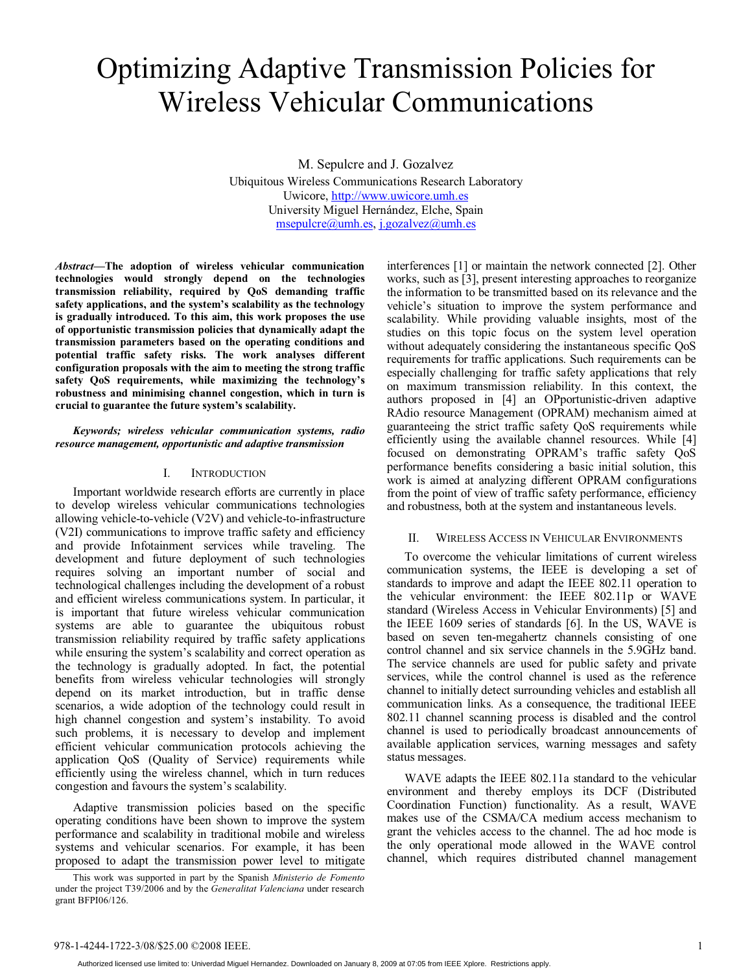# Optimizing Adaptive Transmission Policies for Wireless Vehicular Communications

M. Sepulcre and J. Gozalvez

Ubiquitous Wireless Communications Research Laboratory Uwicore, http://www.uwicore.umh.es University Miguel Hernández, Elche, Spain msepulcre@umh.es, j.gozalvez@umh.es

*Abstract***—The adoption of wireless vehicular communication technologies would strongly depend on the technologies transmission reliability, required by QoS demanding traffic safety applications, and the system's scalability as the technology is gradually introduced. To this aim, this work proposes the use of opportunistic transmission policies that dynamically adapt the transmission parameters based on the operating conditions and potential traffic safety risks. The work analyses different configuration proposals with the aim to meeting the strong traffic safety QoS requirements, while maximizing the technology's robustness and minimising channel congestion, which in turn is crucial to guarantee the future system's scalability.** 

*Keywords; wireless vehicular communication systems, radio resource management, opportunistic and adaptive transmission* 

# I. INTRODUCTION

Important worldwide research efforts are currently in place to develop wireless vehicular communications technologies allowing vehicle-to-vehicle (V2V) and vehicle-to-infrastructure (V2I) communications to improve traffic safety and efficiency and provide Infotainment services while traveling. The development and future deployment of such technologies requires solving an important number of social and technological challenges including the development of a robust and efficient wireless communications system. In particular, it is important that future wireless vehicular communication systems are able to guarantee the ubiquitous robust transmission reliability required by traffic safety applications while ensuring the system's scalability and correct operation as the technology is gradually adopted. In fact, the potential benefits from wireless vehicular technologies will strongly depend on its market introduction, but in traffic dense scenarios, a wide adoption of the technology could result in high channel congestion and system's instability. To avoid such problems, it is necessary to develop and implement efficient vehicular communication protocols achieving the application QoS (Quality of Service) requirements while efficiently using the wireless channel, which in turn reduces congestion and favours the system's scalability.

Adaptive transmission policies based on the specific operating conditions have been shown to improve the system performance and scalability in traditional mobile and wireless systems and vehicular scenarios. For example, it has been proposed to adapt the transmission power level to mitigate

interferences [1] or maintain the network connected [2]. Other works, such as [3], present interesting approaches to reorganize the information to be transmitted based on its relevance and the vehicle's situation to improve the system performance and scalability. While providing valuable insights, most of the studies on this topic focus on the system level operation without adequately considering the instantaneous specific QoS requirements for traffic applications. Such requirements can be especially challenging for traffic safety applications that rely on maximum transmission reliability. In this context, the authors proposed in [4] an OPportunistic-driven adaptive RAdio resource Management (OPRAM) mechanism aimed at guaranteeing the strict traffic safety QoS requirements while efficiently using the available channel resources. While [4] focused on demonstrating OPRAM's traffic safety QoS performance benefits considering a basic initial solution, this work is aimed at analyzing different OPRAM configurations from the point of view of traffic safety performance, efficiency and robustness, both at the system and instantaneous levels.

# II. WIRELESS ACCESS IN VEHICULAR ENVIRONMENTS

To overcome the vehicular limitations of current wireless communication systems, the IEEE is developing a set of standards to improve and adapt the IEEE 802.11 operation to the vehicular environment: the IEEE 802.11p or WAVE standard (Wireless Access in Vehicular Environments) [5] and the IEEE 1609 series of standards [6]. In the US, WAVE is based on seven ten-megahertz channels consisting of one control channel and six service channels in the 5.9GHz band. The service channels are used for public safety and private services, while the control channel is used as the reference channel to initially detect surrounding vehicles and establish all communication links. As a consequence, the traditional IEEE 802.11 channel scanning process is disabled and the control channel is used to periodically broadcast announcements of available application services, warning messages and safety status messages.

WAVE adapts the IEEE 802.11a standard to the vehicular environment and thereby employs its DCF (Distributed Coordination Function) functionality. As a result, WAVE makes use of the CSMA/CA medium access mechanism to grant the vehicles access to the channel. The ad hoc mode is the only operational mode allowed in the WAVE control channel, which requires distributed channel management

This work was supported in part by the Spanish *Ministerio de Fomento* under the project T39/2006 and by the *Generalitat Valenciana* under research grant BFPI06/126.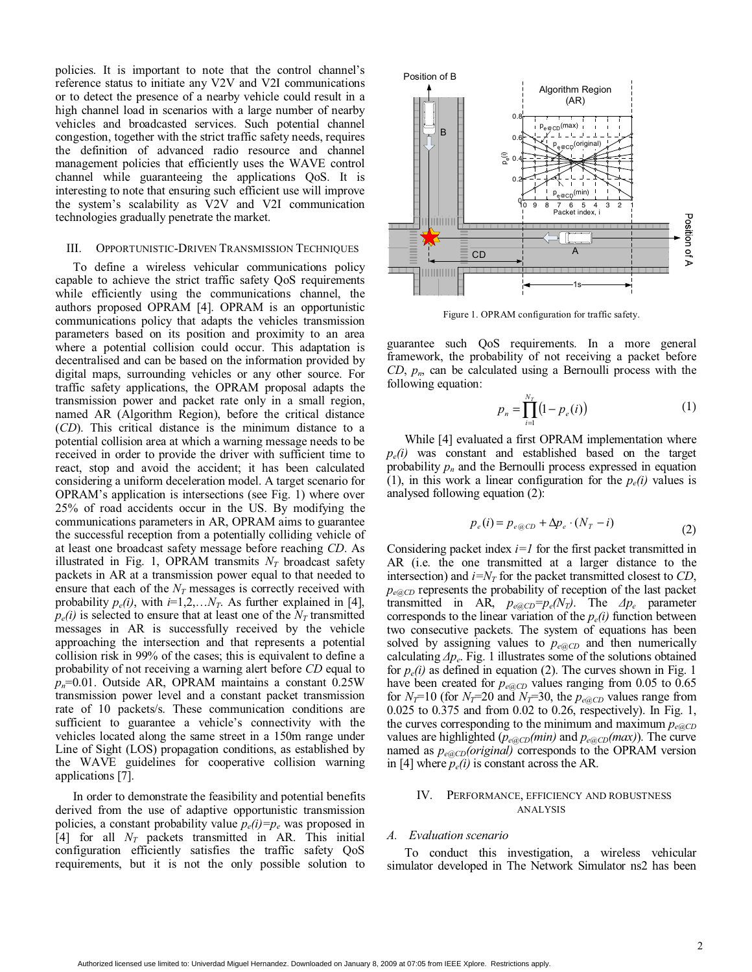policies. It is important to note that the control channel's reference status to initiate any V2V and V2I communications or to detect the presence of a nearby vehicle could result in a high channel load in scenarios with a large number of nearby vehicles and broadcasted services. Such potential channel congestion, together with the strict traffic safety needs, requires the definition of advanced radio resource and channel management policies that efficiently uses the WAVE control channel while guaranteeing the applications QoS. It is interesting to note that ensuring such efficient use will improve the system's scalability as V2V and V2I communication technologies gradually penetrate the market.

# III. OPPORTUNISTIC-DRIVEN TRANSMISSION TECHNIQUES

To define a wireless vehicular communications policy capable to achieve the strict traffic safety QoS requirements while efficiently using the communications channel, the authors proposed OPRAM [4]. OPRAM is an opportunistic communications policy that adapts the vehicles transmission parameters based on its position and proximity to an area where a potential collision could occur. This adaptation is decentralised and can be based on the information provided by digital maps, surrounding vehicles or any other source. For traffic safety applications, the OPRAM proposal adapts the transmission power and packet rate only in a small region, named AR (Algorithm Region), before the critical distance (*CD*). This critical distance is the minimum distance to a potential collision area at which a warning message needs to be received in order to provide the driver with sufficient time to react, stop and avoid the accident; it has been calculated considering a uniform deceleration model. A target scenario for OPRAM's application is intersections (see Fig. 1) where over 25% of road accidents occur in the US. By modifying the communications parameters in AR, OPRAM aims to guarantee the successful reception from a potentially colliding vehicle of at least one broadcast safety message before reaching *CD*. As illustrated in Fig. 1, OPRAM transmits  $N_T$  broadcast safety packets in AR at a transmission power equal to that needed to ensure that each of the  $N_T$  messages is correctly received with probability  $p_e(i)$ , with  $i=1,2,...N_T$ . As further explained in [4],  $p_e(i)$  is selected to ensure that at least one of the  $N_T$  transmitted messages in AR is successfully received by the vehicle approaching the intersection and that represents a potential collision risk in 99% of the cases; this is equivalent to define a probability of not receiving a warning alert before *CD* equal to *pn*=0.01. Outside AR, OPRAM maintains a constant 0.25W transmission power level and a constant packet transmission rate of 10 packets/s. These communication conditions are sufficient to guarantee a vehicle's connectivity with the vehicles located along the same street in a 150m range under Line of Sight (LOS) propagation conditions, as established by the WAVE guidelines for cooperative collision warning applications [7].

In order to demonstrate the feasibility and potential benefits derived from the use of adaptive opportunistic transmission policies, a constant probability value  $p_e(i) = p_e$  was proposed in [4] for all  $N_T$  packets transmitted in AR. This initial configuration efficiently satisfies the traffic safety QoS requirements, but it is not the only possible solution to



Figure 1. OPRAM configuration for traffic safety.

guarantee such QoS requirements. In a more general framework, the probability of not receiving a packet before  $CD$ ,  $p_n$ , can be calculated using a Bernoulli process with the following equation:

$$
p_n = \prod_{i=1}^{N_T} (1 - p_e(i))
$$
 (1)

While [4] evaluated a first OPRAM implementation where  $p_e(i)$  was constant and established based on the target probability  $p_n$  and the Bernoulli process expressed in equation (1), in this work a linear configuration for the  $p_e(i)$  values is analysed following equation (2):

$$
p_e(i) = p_{e@CD} + \Delta p_e \cdot (N_T - i)
$$
\n<sup>(2)</sup>

Considering packet index *i=1* for the first packet transmitted in AR (i.e. the one transmitted at a larger distance to the intersection) and  $i=N_T$  for the packet transmitted closest to *CD*, *pe@CD* represents the probability of reception of the last packet transmitted in AR,  $p_{e@CD} = p_e(N_T)$ . The  $\Delta p_e$  parameter corresponds to the linear variation of the  $p_e(i)$  function between two consecutive packets. The system of equations has been solved by assigning values to  $p_{e@CD}$  and then numerically calculating  $\Delta p_e$ . Fig. 1 illustrates some of the solutions obtained for  $p_e(i)$  as defined in equation (2). The curves shown in Fig. 1 have been created for  $p_{e@CD}$  values ranging from 0.05 to 0.65 for  $N_T$ =10 (for  $N_T$ =20 and  $N_T$ =30, the  $p_{e@CD}$  values range from 0.025 to 0.375 and from 0.02 to 0.26, respectively). In Fig. 1, the curves corresponding to the minimum and maximum  $p_{e@CD}$ values are highlighted  $(p_{e@CD}(min)$  and  $p_{e@CD}(max)$ ). The curve named as  $p_{e@CD}(original)$  corresponds to the OPRAM version in [4] where  $p_e(i)$  is constant across the AR.

# IV. PERFORMANCE, EFFICIENCY AND ROBUSTNESS ANALYSIS

## *A. Evaluation scenario*

To conduct this investigation, a wireless vehicular simulator developed in The Network Simulator ns2 has been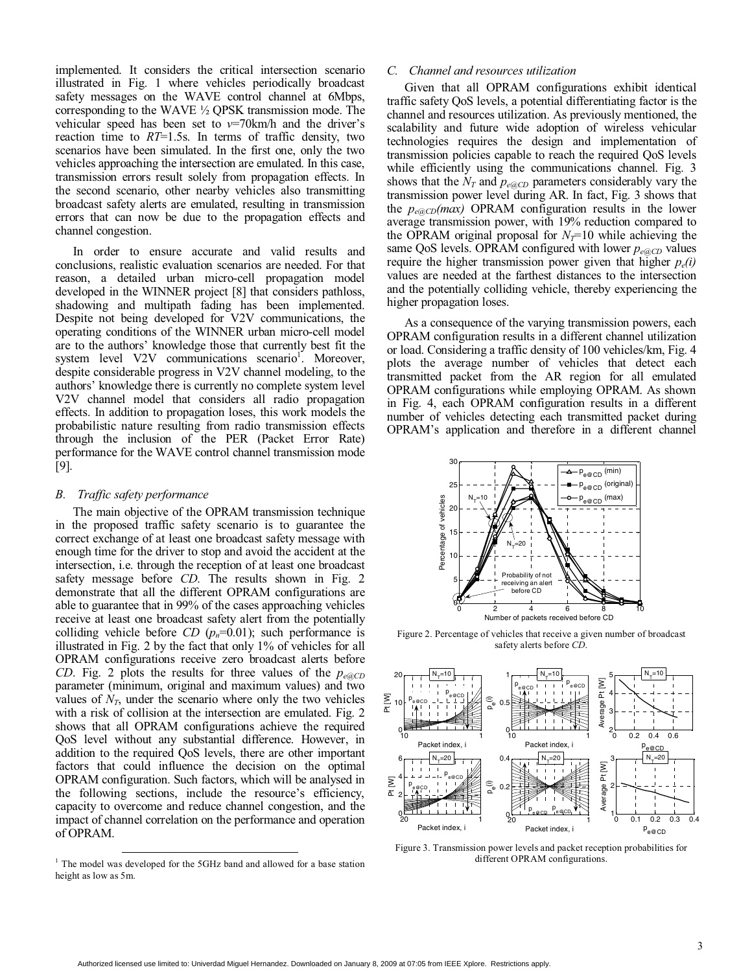implemented. It considers the critical intersection scenario illustrated in Fig. 1 where vehicles periodically broadcast safety messages on the WAVE control channel at 6Mbps, corresponding to the WAVE ½ QPSK transmission mode. The vehicular speed has been set to *v*=70km/h and the driver's reaction time to *RT*=1.5s. In terms of traffic density, two scenarios have been simulated. In the first one, only the two vehicles approaching the intersection are emulated. In this case, transmission errors result solely from propagation effects. In the second scenario, other nearby vehicles also transmitting broadcast safety alerts are emulated, resulting in transmission errors that can now be due to the propagation effects and channel congestion.

In order to ensure accurate and valid results and conclusions, realistic evaluation scenarios are needed. For that reason, a detailed urban micro-cell propagation model developed in the WINNER project [8] that considers pathloss, shadowing and multipath fading has been implemented. Despite not being developed for V2V communications, the operating conditions of the WINNER urban micro-cell model are to the authors' knowledge those that currently best fit the system level V2V communications scenario<sup>1</sup>. Moreover, despite considerable progress in V2V channel modeling, to the authors' knowledge there is currently no complete system level V2V channel model that considers all radio propagation effects. In addition to propagation loses, this work models the probabilistic nature resulting from radio transmission effects through the inclusion of the PER (Packet Error Rate) performance for the WAVE control channel transmission mode [9].

#### *B. Traffic safety performance*

The main objective of the OPRAM transmission technique in the proposed traffic safety scenario is to guarantee the correct exchange of at least one broadcast safety message with enough time for the driver to stop and avoid the accident at the intersection, i.e. through the reception of at least one broadcast safety message before *CD*. The results shown in Fig. 2 demonstrate that all the different OPRAM configurations are able to guarantee that in 99% of the cases approaching vehicles receive at least one broadcast safety alert from the potentially colliding vehicle before *CD* ( $p_n=0.01$ ); such performance is illustrated in Fig. 2 by the fact that only 1% of vehicles for all OPRAM configurations receive zero broadcast alerts before *CD*. Fig. 2 plots the results for three values of the  $p_{e@CD}$ parameter (minimum, original and maximum values) and two values of  $N_T$ , under the scenario where only the two vehicles with a risk of collision at the intersection are emulated. Fig. 2 shows that all OPRAM configurations achieve the required QoS level without any substantial difference. However, in addition to the required QoS levels, there are other important factors that could influence the decision on the optimal OPRAM configuration. Such factors, which will be analysed in the following sections, include the resource's efficiency, capacity to overcome and reduce channel congestion, and the impact of channel correlation on the performance and operation of OPRAM.

# *C. Channel and resources utilization*

Given that all OPRAM configurations exhibit identical traffic safety QoS levels, a potential differentiating factor is the channel and resources utilization. As previously mentioned, the scalability and future wide adoption of wireless vehicular technologies requires the design and implementation of transmission policies capable to reach the required QoS levels while efficiently using the communications channel. Fig. 3 shows that the  $N_T$  and  $p_{e@CD}$  parameters considerably vary the transmission power level during AR. In fact, Fig. 3 shows that the  $p_{e@CD}(max)$  OPRAM configuration results in the lower average transmission power, with 19% reduction compared to the OPRAM original proposal for  $N_T=10$  while achieving the same QoS levels. OPRAM configured with lower  $p_{e@CD}$  values require the higher transmission power given that higher  $p_e(i)$ values are needed at the farthest distances to the intersection and the potentially colliding vehicle, thereby experiencing the higher propagation loses.

As a consequence of the varying transmission powers, each OPRAM configuration results in a different channel utilization or load. Considering a traffic density of 100 vehicles/km, Fig. 4 plots the average number of vehicles that detect each transmitted packet from the AR region for all emulated OPRAM configurations while employing OPRAM. As shown in Fig. 4, each OPRAM configuration results in a different number of vehicles detecting each transmitted packet during OPRAM's application and therefore in a different channel



Figure 2. Percentage of vehicles that receive a given number of broadcast safety alerts before *CD*.



Figure 3. Transmission power levels and packet reception probabilities for different OPRAM configurations.

 <sup>1</sup> The model was developed for the 5GHz band and allowed for a base station height as low as 5m.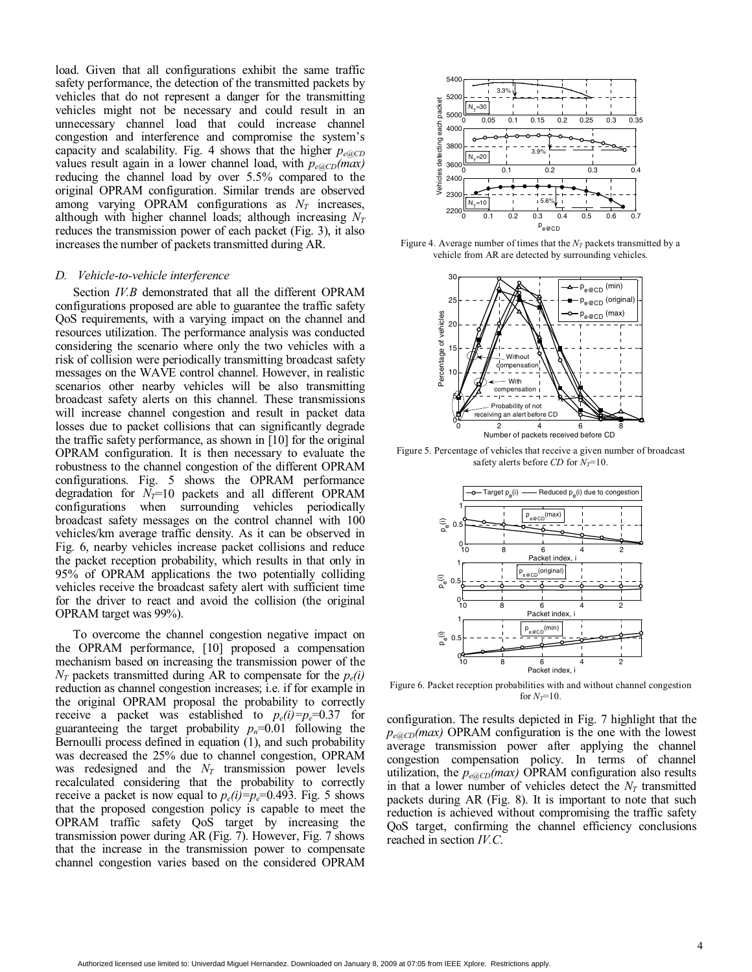load. Given that all configurations exhibit the same traffic safety performance, the detection of the transmitted packets by vehicles that do not represent a danger for the transmitting vehicles might not be necessary and could result in an unnecessary channel load that could increase channel congestion and interference and compromise the system's capacity and scalability. Fig. 4 shows that the higher  $p_{e@CD}$ values result again in a lower channel load, with *pe@CD(max)* reducing the channel load by over 5.5% compared to the original OPRAM configuration. Similar trends are observed among varying OPRAM configurations as  $N_T$  increases, although with higher channel loads; although increasing  $N_T$ reduces the transmission power of each packet (Fig. 3), it also increases the number of packets transmitted during AR.

# *D. Vehicle-to-vehicle interference*

Section *IV.B* demonstrated that all the different OPRAM configurations proposed are able to guarantee the traffic safety QoS requirements, with a varying impact on the channel and resources utilization. The performance analysis was conducted considering the scenario where only the two vehicles with a risk of collision were periodically transmitting broadcast safety messages on the WAVE control channel. However, in realistic scenarios other nearby vehicles will be also transmitting broadcast safety alerts on this channel. These transmissions will increase channel congestion and result in packet data losses due to packet collisions that can significantly degrade the traffic safety performance, as shown in [10] for the original OPRAM configuration. It is then necessary to evaluate the robustness to the channel congestion of the different OPRAM configurations. Fig. 5 shows the OPRAM performance degradation for  $N_T=10$  packets and all different OPRAM configurations when surrounding vehicles periodically broadcast safety messages on the control channel with 100 vehicles/km average traffic density. As it can be observed in Fig. 6, nearby vehicles increase packet collisions and reduce the packet reception probability, which results in that only in 95% of OPRAM applications the two potentially colliding vehicles receive the broadcast safety alert with sufficient time for the driver to react and avoid the collision (the original OPRAM target was 99%).

To overcome the channel congestion negative impact on the OPRAM performance, [10] proposed a compensation mechanism based on increasing the transmission power of the  $N_T$  packets transmitted during AR to compensate for the  $p_e(i)$ reduction as channel congestion increases; i.e. if for example in the original OPRAM proposal the probability to correctly receive a packet was established to  $p_e(i)=p_e=0.37$  for guaranteeing the target probability  $p_n=0.01$  following the Bernoulli process defined in equation (1), and such probability was decreased the 25% due to channel congestion, OPRAM was redesigned and the  $N_T$  transmission power levels recalculated considering that the probability to correctly receive a packet is now equal to  $p_e(i) = p_e = 0.493$ . Fig. 5 shows that the proposed congestion policy is capable to meet the OPRAM traffic safety QoS target by increasing the transmission power during AR (Fig. 7). However, Fig. 7 shows that the increase in the transmission power to compensate channel congestion varies based on the considered OPRAM



Figure 4. Average number of times that the  $N_T$  packets transmitted by a vehicle from AR are detected by surrounding vehicles.



Figure 5. Percentage of vehicles that receive a given number of broadcast safety alerts before *CD* for  $N_T$ =10.



Figure 6. Packet reception probabilities with and without channel congestion for  $N_T = 10$ .

configuration. The results depicted in Fig. 7 highlight that the *pe@CD(max)* OPRAM configuration is the one with the lowest average transmission power after applying the channel congestion compensation policy. In terms of channel utilization, the  $p_{e@CD}(max)$  OPRAM configuration also results in that a lower number of vehicles detect the  $N_T$  transmitted packets during AR (Fig. 8). It is important to note that such reduction is achieved without compromising the traffic safety QoS target, confirming the channel efficiency conclusions reached in section *IV.C*.